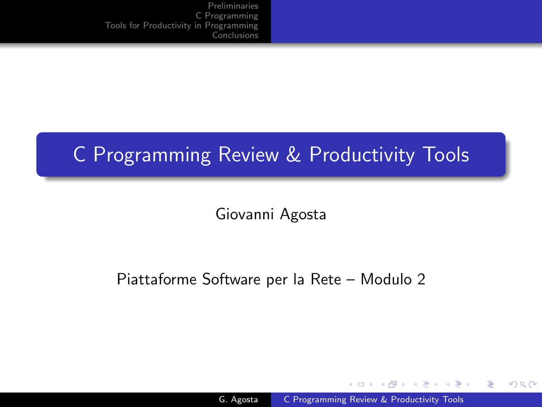# C Programming Review & Productivity Tools

Giovanni Agosta

### Piattaforme Software per la Rete – Modulo 2

and in

- ④ 伊 ≯ ④ 重 ≯ ④ 重

<span id="page-0-0"></span> $\Omega$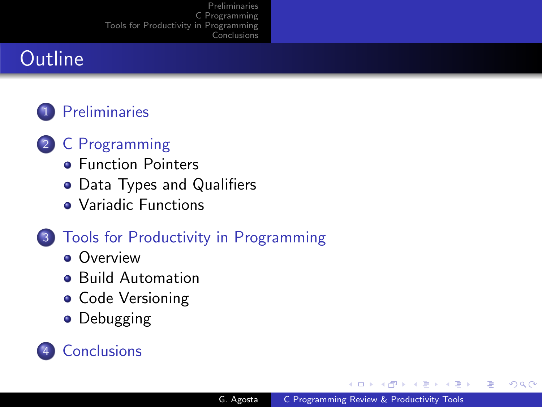# **Outline**

### 1 [Preliminaries](#page-2-0)

- 2 [C Programming](#page-6-0)
	- **[Function Pointers](#page-7-0)**
	- [Data Types and Qualifiers](#page-9-0)
	- [Variadic Functions](#page-12-0)

### 3 [Tools for Productivity in Programming](#page-13-0)

- **[Overview](#page-14-0)**
- **•** [Build Automation](#page-16-0)
- [Code Versioning](#page-19-0)
- [Debugging](#page-20-0)



オーモー  $\sim$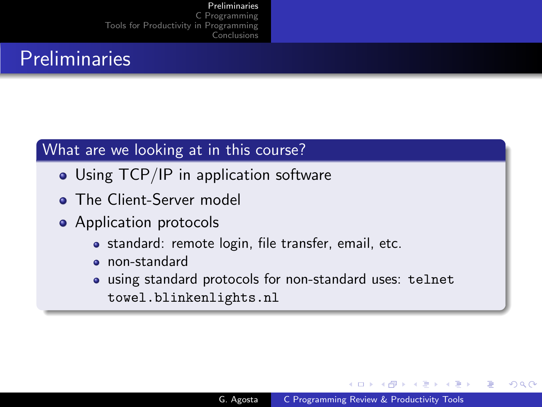### Preliminaries

### What are we looking at in this course?

- Using TCP/IP in application software
- The Client-Server model
- Application protocols
	- standard: remote login, file transfer, email, etc.
	- non-standard
	- using standard protocols for non-standard uses: telnet towel.blinkenlights.nl

4 17 18

- ④ 伊 ≯ ④ 重 ≯ ④ 重

<span id="page-2-0"></span>つくい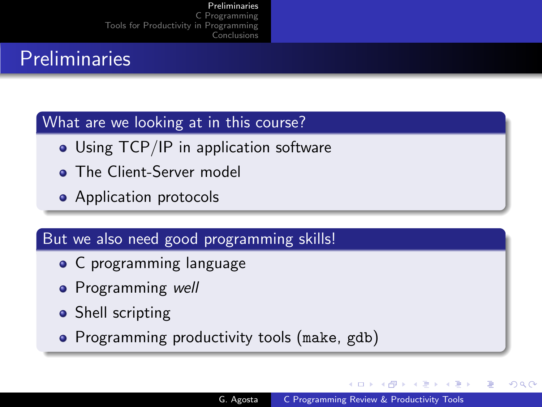## Preliminaries

### What are we looking at in this course?

- Using TCP/IP in application software
- **The Client-Server model**
- Application protocols

### But we also need good programming skills!

- C programming language
- Programming well
- Shell scripting
- Programming productivity tools (make, gdb)

- ④ 伊 ≯ ④ 重 ≯ ④ 重

つくい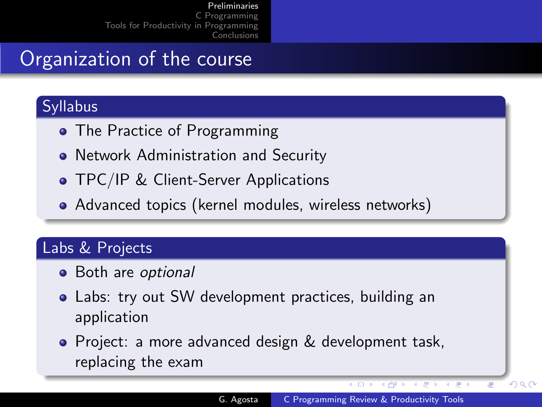# Organization of the course

### Syllabus

- The Practice of Programming
- Network Administration and Security
- **TPC/IP & Client-Server Applications**
- Advanced topics (kernel modules, wireless networks)

### Labs & Projects

- Both are optional
- Labs: try out SW development practices, building an application
- Project: a more advanced design & development task, replacing the exam

 $\sim$   $\sim$ 

4 伊

つくへ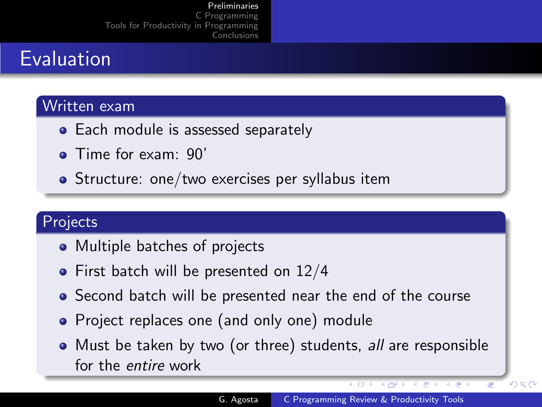# Evaluation

#### Written exam

- Each module is assessed separately
- **•** Time for exam: 90'
- Structure: one/two exercises per syllabus item

### Projects

- Multiple batches of projects
- $\bullet$  First batch will be presented on 12/4
- Second batch will be presented near the end of the course
- Project replaces one (and only one) module
- Must be taken by two (or three) students, all are responsible for the entire work

 $\overline{1}$ 

◆ 仲 ▶

 $QQ$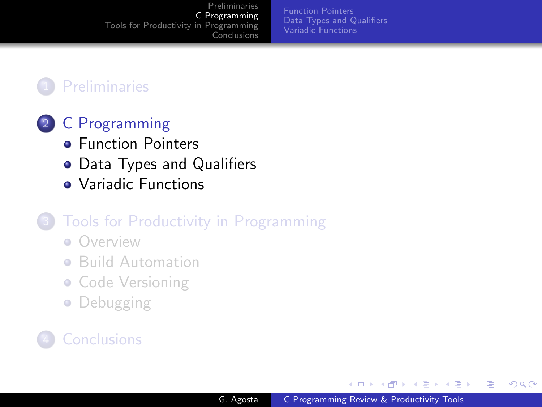[Function Pointers](#page-7-0) [Data Types and Qualifiers](#page-9-0) [Variadic Functions](#page-12-0)

### **[Preliminaries](#page-2-0)**

### 2 [C Programming](#page-6-0)

- **[Function Pointers](#page-7-0)**
- [Data Types and Qualifiers](#page-9-0)
- [Variadic Functions](#page-12-0)

### [Tools for Productivity in Programming](#page-13-0)

- **[Overview](#page-14-0)**
- **•** [Build Automation](#page-16-0)
- [Code Versioning](#page-19-0)
- [Debugging](#page-20-0)

### **[Conclusions](#page-21-0)**

and in

4母 ト 4回 ト

性

<span id="page-6-0"></span> $\Omega$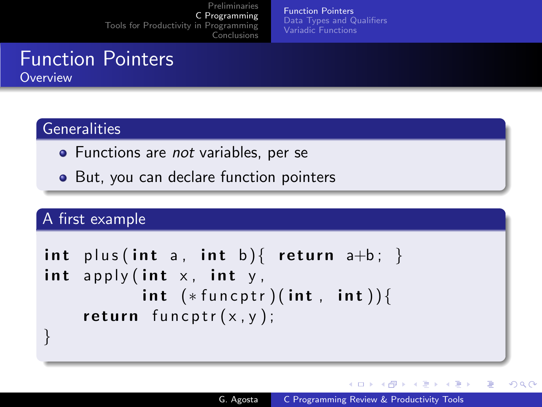[Function Pointers](#page-7-0) [Data Types and Qualifiers](#page-9-0) [Variadic Functions](#page-12-0)

# Function Pointers

**Overview** 

### **Generalities**

- Functions are not variables, per se
- But, you can declare function pointers

### A first example

```
int plus (int a, int b) { return a+b; }
int apply (int x, int y,
          int (*funct) (int, int) ) {
    return funcptr(x, y);
}
```
∢ロト ∢母ト ∢目ト ∢目ト

<span id="page-7-0"></span>∍

つくい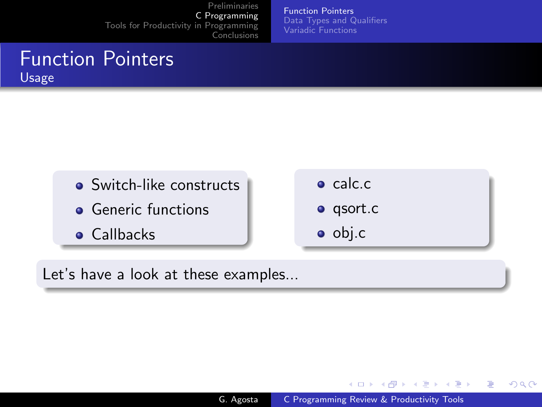[Function Pointers](#page-7-0) [Data Types and Qualifiers](#page-9-0) [Variadic Functions](#page-12-0)

### Function Pointers Usage



Let's have a look at these examples...

イロメ イ母メ イヨメ イヨメ

つくへ

э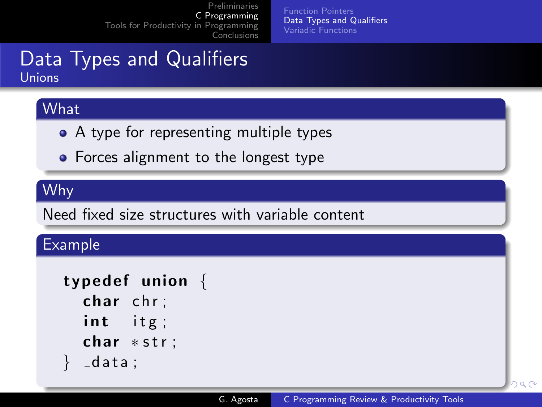[Function Pointers](#page-7-0) [Data Types and Qualifiers](#page-9-0) [Variadic Functions](#page-12-0)

### Data Types and Qualifiers Unions

### **What**

- A type for representing multiple types
- Forces alignment to the longest type

### Why

Need fixed size structures with variable content

### Example

```
typedef union \{char chr;
  int itg;
  char *str;
  -d at a ;
```
<span id="page-9-0"></span>bar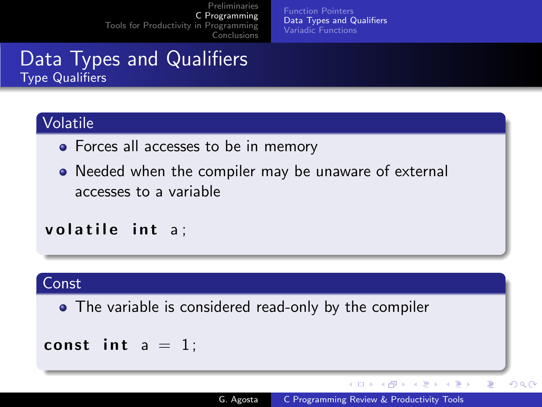[Function Pointers](#page-7-0) [Data Types and Qualifiers](#page-9-0) [Variadic Functions](#page-12-0)

### Data Types and Qualifiers Type Qualifiers

### Volatile

- Forces all accesses to be in memory
- Needed when the compiler may be unaware of external accesses to a variable

volatile int a:

#### Const

• The variable is considered read-only by the compiler

#### const int  $a = 1$ ;

イロメ イ母メ イヨメ イヨメ

Þ

 $QQ$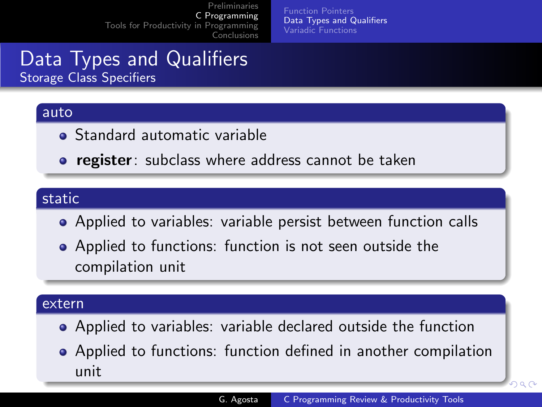[Function Pointers](#page-7-0) [Data Types and Qualifiers](#page-9-0) [Variadic Functions](#page-12-0)

### Data Types and Qualifiers Storage Class Specifiers

#### auto

- **•** Standard automatic variable
- **register**: subclass where address cannot be taken

### static

- Applied to variables: variable persist between function calls
- Applied to functions: function is not seen outside the compilation unit

#### extern

- Applied to variables: variable declared outside the function
- Applied to functions: function defined in another compilation unit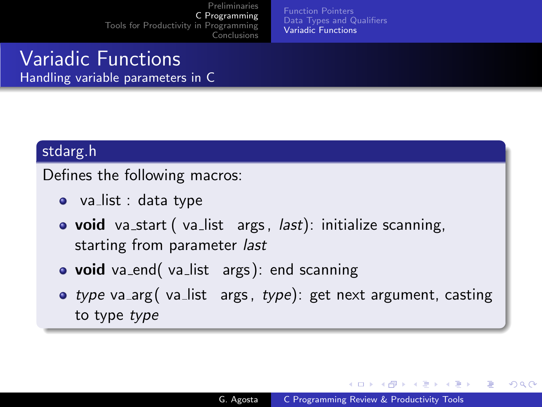[Function Pointers](#page-7-0) [Data Types and Qualifiers](#page-9-0) [Variadic Functions](#page-12-0)

### Variadic Functions Handling variable parameters in C

#### stdarg.h

Defines the following macros:

- $\bullet$  va\_list : data type
- **void** va\_start (va\_list args, *last*): initialize scanning, starting from parameter last
- void va\_end( va\_list args): end scanning
- type va\_arg( va\_list args, type): get next argument, casting to type type

<span id="page-12-0"></span>メロト メ母 トメ ミト メ ヨ トー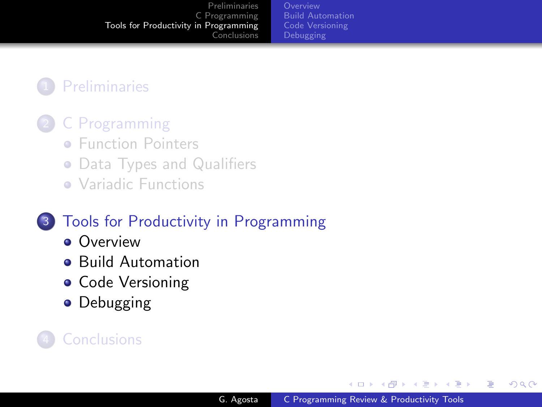[Build Automation](#page-16-0) [Code Versioning](#page-19-0)

### **[Preliminaries](#page-2-0)**

### 2 [C Programming](#page-6-0)

- **[Function Pointers](#page-7-0)**
- [Data Types and Qualifiers](#page-9-0)
- [Variadic Functions](#page-12-0)

### 3 [Tools for Productivity in Programming](#page-13-0)

- **[Overview](#page-14-0)**
- **[Build Automation](#page-16-0)**
- [Code Versioning](#page-19-0)
- **•** [Debugging](#page-20-0)

### **[Conclusions](#page-21-0)**

and in

→ 伊 ▶ → 手 ▶

G.

<span id="page-13-0"></span> $\Omega$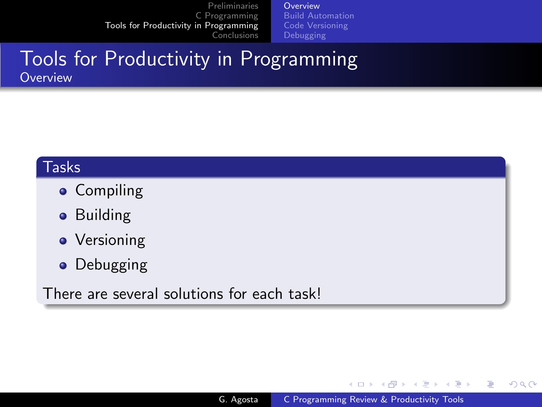**[Overview](#page-14-0)** [Build Automation](#page-16-0) [Code Versioning](#page-19-0)

### Tools for Productivity in Programming **Overview**

#### Tasks

- **•** Compiling
- **•** Building
- Versioning
- **•** Debugging

There are several solutions for each task!

メロメ メ母メ メミメ メミメ

э

<span id="page-14-0"></span>つくへ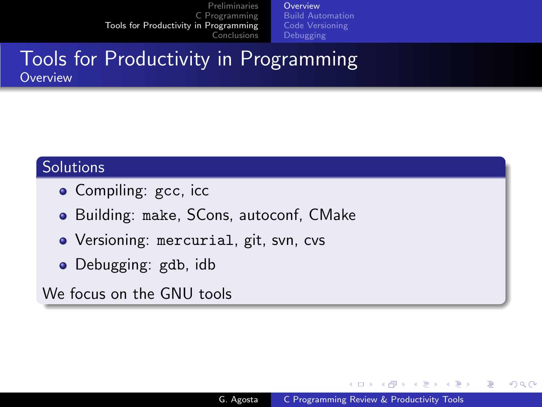**[Overview](#page-14-0)** [Build Automation](#page-16-0) [Code Versioning](#page-19-0)

### Tools for Productivity in Programming **Overview**

#### Solutions

- Compiling: gcc, icc
- Building: make, SCons, autoconf, CMake
- Versioning: mercurial, git, svn, cvs
- Debugging: gdb, idb

We focus on the GNU tools

メロメ メ母メ メミメ メミメ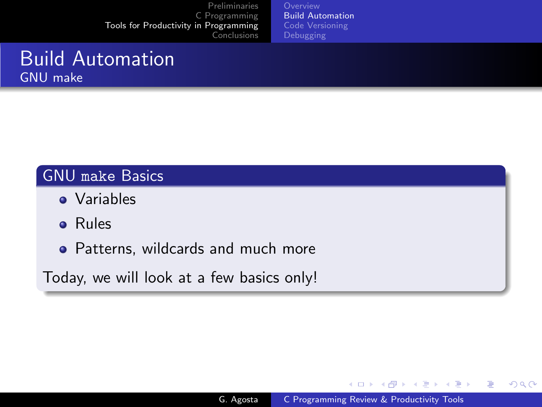[Build Automation](#page-16-0) [Code Versioning](#page-19-0)

### Build Automation GNU make

### GNU make Basics

- **•** Variables
- Rules
- Patterns, wildcards and much more

Today, we will look at a few basics only!

イロン イ何ン イヨン イヨン

 $2990$ 

<span id="page-16-0"></span>э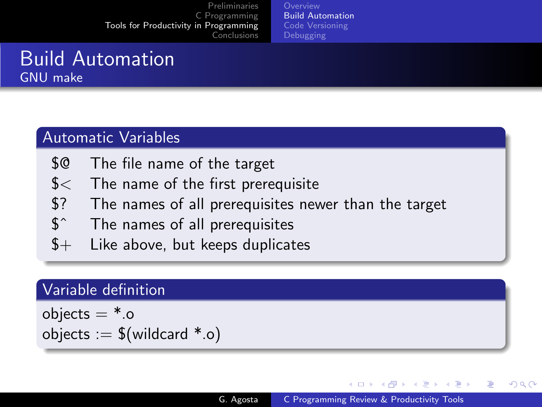[Build Automation](#page-16-0)

### Build Automation GNU make

### Automatic Variables

- \$@ The file name of the target
- \$< The name of the first prerequisite
- \$? The names of all prerequisites newer than the target
- \$ˆ The names of all prerequisites
- $$+$  Like above, but keeps duplicates

#### Variable definition

objects  $=$  \*.o objects  $:=$  \$(wildcard  $*$ .o)

∢ロト ∢母ト ∢目ト ∢目ト

つくい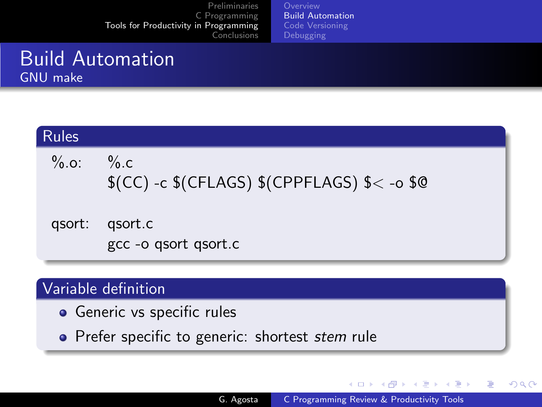[Build Automation](#page-16-0)

### Build Automation GNU make

| <b>Rules</b> |                                                    |
|--------------|----------------------------------------------------|
| % .0.        | $\%$ .c<br>$$(CC) -c$(CFLAGS)$(CPPFLAGS) $< -o $@$ |
| qsort:       | gsort.c<br>gcc -o qsort qsort.c                    |

### Variable definition

- Generic vs specific rules
- Prefer specific to generic: shortest stem rule

イロン イ何ン イヨン イヨン

つくへ

э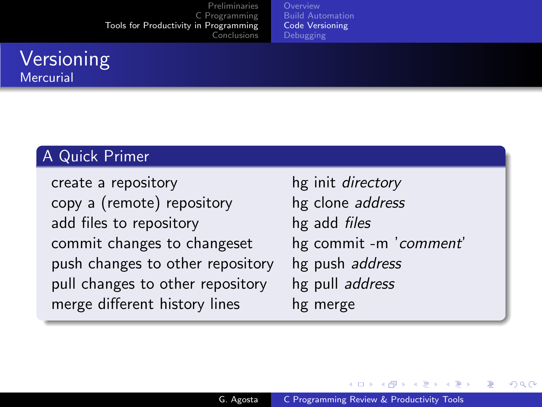[Build Automation](#page-16-0) [Code Versioning](#page-19-0)

### Versioning **Mercurial**

### A Quick Primer

create a repository hg init *directory* copy a (remote) repository hg clone address add files to repository hg add *files* commit changes to changeset hg commit -m 'comment' push changes to other repository hg push address pull changes to other repository hg pull address merge different history lines hg merge

<span id="page-19-0"></span>メロメ メ母メ メミメ メミメ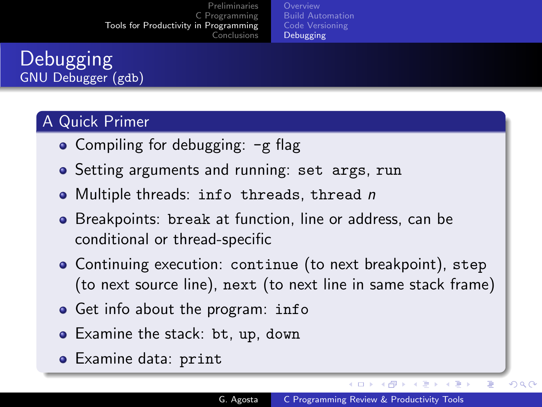**[Overview](#page-14-0)** [Build Automation](#page-16-0) [Code Versioning](#page-19-0) [Debugging](#page-20-0)

### Debugging GNU Debugger (gdb)

### A Quick Primer

- Compiling for debugging:  $-g$  flag
- **•** Setting arguments and running: set args, run
- Multiple threads: info threads, thread n
- **•** Breakpoints: break at function, line or address, can be conditional or thread-specific
- Continuing execution: continue (to next breakpoint), step (to next source line), next (to next line in same stack frame)
- **•** Get info about the program: info
- Examine the stack: bt, up, down
- Examine data: print

イロン イ何ン イヨン イヨン

つくへ

<span id="page-20-0"></span>∍